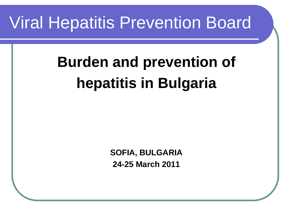## Viral Hepatitis Prevention Board

# **Burden and prevention of hepatitis in Bulgaria**

**SOFIA, BULGARIA 24-25 March 2011**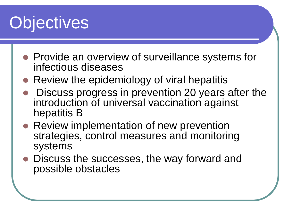# **Objectives**

- Provide an overview of surveillance systems for infectious diseases
- Review the epidemiology of viral hepatitis
- Discuss progress in prevention 20 years after the introduction of universal vaccination against hepatitis B
- Review implementation of new prevention strategies, control measures and monitoring systems
- Discuss the successes, the way forward and possible obstacles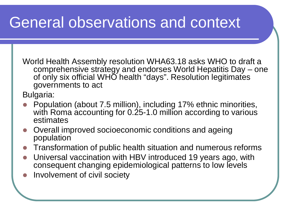#### General observations and context

World Health Assembly resolution WHA63.18 asks WHO to draft a comprehensive strategy and endorses World Hepatitis Day – one of only six official WHO health "days". Resolution legitimates governments to act

Bulgaria:

- Population (about 7.5 million), including 17% ethnic minorities, with Roma accounting for  $0.25$ -1.0 million according to various estimates
- Overall improved socioeconomic conditions and ageing population
- Transformation of public health situation and numerous reforms
- Universal vaccination with HBV introduced 19 years ago, with consequent changing epidemiological patterns to low levels
- Involvement of civil society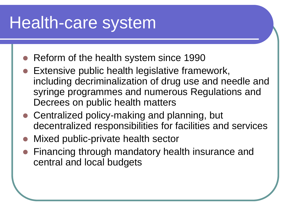## Health-care system

- Reform of the health system since 1990
- Extensive public health legislative framework, including decriminalization of drug use and needle and syringe programmes and numerous Regulations and Decrees on public health matters
- Centralized policy-making and planning, but decentralized responsibilities for facilities and services
- Mixed public-private health sector
- Financing through mandatory health insurance and central and local budgets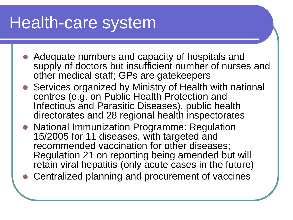## Health-care system

- Adequate numbers and capacity of hospitals and supply of doctors but insufficient number of nurses and other medical staff; GPs are gatekeepers
- Services organized by Ministry of Health with national centres (e.g. on Public Health Protection and Infectious and Parasitic Diseases), public health directorates and 28 regional health inspectorates
- National Immunization Programme: Regulation 15/2005 for 11 diseases, with targeted and recommended vaccination for other diseases; Regulation 21 on reporting being amended but will retain viral hepatitis (only acute cases in the future)
- Centralized planning and procurement of vaccines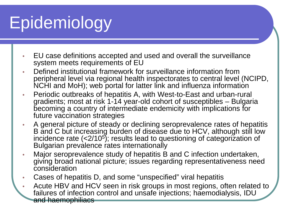- EU case definitions accepted and used and overall the surveillance system meets requirements of EU
- Defined institutional framework for surveillance information from peripheral level via regional health inspectorates to central level (NCIPD, NCHI and MoH); web portal for latter link and influenza information
- Periodic outbreaks of hepatitis A, with West-to-East and urban-rural gradients; most at risk 1-14 year-old cohort of susceptibles – Bulgaria becoming a country of intermediate endemicity with implications for future vaccination strategies
- A general picture of steady or declining seroprevalence rates of hepatitis B and C but increasing burden of disease due to HCV, although still low incidence rate  $( $2/10^5$ )$ ; results lead to questioning of categorization of Bulgarian prevalence rates internationally
- Major seroprevalence study of hepatitis B and C infection undertaken, giving broad national picture; issues regarding representativeness need consideration
- Cases of hepatitis D, and some "unspecified" viral hepatitis
- Acute HBV and HCV seen in risk groups in most regions, often related to failures of infection control and unsafe injections; haemodialysis, IDU and haemophiliacs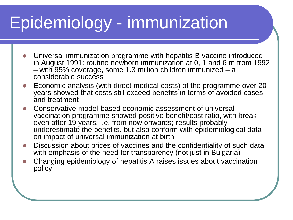# Epidemiology - immunization

- Universal immunization programme with hepatitis B vaccine introduced in August 1991: routine newborn immunization at 0, 1 and 6 m from 1992 – with 95% coverage, some 1.3 million children immunized – a considerable success
- Economic analysis (with direct medical costs) of the programme over 20 years showed that costs still exceed benefits in terms of avoided cases and treatment
- Conservative model-based economic assessment of universal vaccination programme showed positive benefit/cost ratio, with break- even after 19 years, i.e. from now onwards; results probably underestimate the benefits, but also conform with epidemiological data on impact of universal immunization at birth
- Discussion about prices of vaccines and the confidentiality of such data, with emphasis of the need for transparency (not just in Bulgaria)
- Changing epidemiology of hepatitis A raises issues about vaccination policy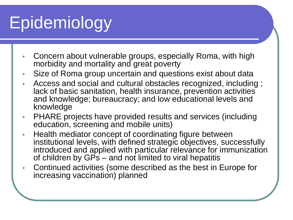- Concern about vulnerable groups, especially Roma, with high morbidity and mortality and great poverty
- Size of Roma group uncertain and questions exist about data
- Access and social and cultural obstacles recognized, including ; lack of basic sanitation, health insurance, prevention activities and knowledge; bureaucracy; and low educational levels and knowledge
- PHARE projects have provided results and services (including education, screening and mobile units)
- Health mediator concept of coordinating figure between institutional levels, with defined strategic objectives, successfully introduced and applied with particular relevance for immunization of children by GPs – and not limited to viral hepatitis
- Continued activities (some described as the best in Europe for increasing vaccination) planned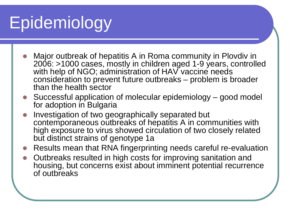- Major outbreak of hepatitis A in Roma community in Plovdiv in 2006: >1000 cases, mostly in children aged 1-9 years, controlled with help of NGO; administration of HAV vaccine needs consideration to prevent future outbreaks – problem is broader than the health sector
- Successful application of molecular epidemiology good model for adoption in Bulgaria
- Investigation of two geographically separated but contemporaneous outbreaks of hepatitis A in communities with high exposure to virus showed circulation of two closely related but distinct strains of genotype 1a
- Results mean that RNA fingerprinting needs careful re-evaluation
- Outbreaks resulted in high costs for improving sanitation and housing, but concerns exist about imminent potential recurrence of outbreaks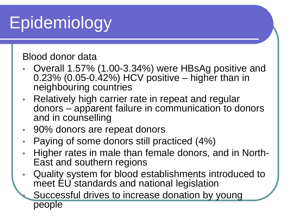Blood donor data

- Overall 1.57% (1.00-3.34%) were HBsAg positive and 0.23% (0.05-0.42%) HCV positive – higher than in neighbouring countries
- Relatively high carrier rate in repeat and regular donors – apparent failure in communication to donors and in counselling
- 90% donors are repeat donors
- Paying of some donors still practiced (4%)
- Higher rates in male than female donors, and in North-<br>East and southern regions
- Quality system for blood establishments introduced to meet EU standards and national legislation
	- Successful drives to increase donation by young people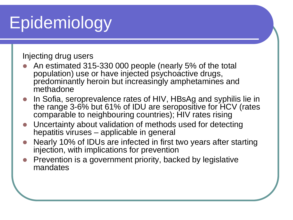Injecting drug users

- An estimated 315-330 000 people (nearly 5% of the total population) use or have injected psychoactive drugs, predominantly heroin but increasingly amphetamines and methadone
- In Sofia, seroprevalence rates of HIV, HBsAg and syphilis lie in the range 3-6% but 61% of IDU are seropositive for HCV (rates comparable to neighbouring countries); HIV rates rising
- Uncertainty about validation of methods used for detecting hepatitis viruses – applicable in general
- Nearly 10% of IDUs are infected in first two years after starting injection, with implications for prevention
- Prevention is a government priority, backed by legislative mandates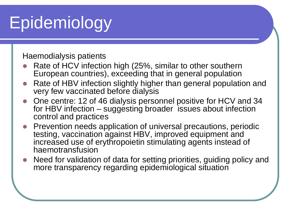Haemodialysis patients

- Rate of HCV infection high (25%, similar to other southern European countries), exceeding that in general population
- Rate of HBV infection slightly higher than general population and very few vaccinated before dialysis
- One centre: 12 of 46 dialysis personnel positive for HCV and 34 for HBV infection – suggesting broader issues about infection control and practices
- Prevention needs application of universal precautions, periodic testing, vaccination against HBV, improved equipment and increased use of erythropoietin stimulating agents instead of haemotransfusion
- Need for validation of data for setting priorities, guiding policy and more transparency regarding epidemiological situation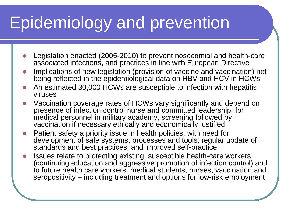# Epidemiology and prevention

- Legislation enacted (2005-2010) to prevent nosocomial and health-care associated infections, and practices in line with European Directive
- Implications of new legislation (provision of vaccine and vaccination) not being reflected in the epidemiological data on HBV and HCV in HCWs
- An estimated 30,000 HCWs are susceptible to infection with hepatitis viruses
- Vaccination coverage rates of HCWs vary significantly and depend on presence of infection control nurse and committed leadership; for medical personnel in military academy, screening followed by vaccination if necessary ethically and economically justified
- Patient safety a priority issue in health policies, with need for development of safe systems, processes and tools; regular update of standards and best practices; and improved self-practice
- Issues relate to protecting existing, susceptible health-care workers (continuing education and aggressive promotion of infection control) and to future health care workers, medical students, nurses, vaccination and seropositivity – including treatment and options for low-risk employment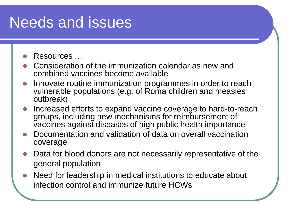#### Needs and issues

#### Resources …

- Consideration of the immunization calendar as new and combined vaccines become available
- Innovate routine immunization programmes in order to reach vulnerable populations (e.g. of Roma children and measles outbreak)
- Increased efforts to expand vaccine coverage to hard-to-reach groups, including new mechanisms for reimbursement of vaccines against diseases of high public health importance
- Documentation and validation of data on overall vaccination coverage
- Data for blood donors are not necessarily representative of the general population
- Need for leadership in medical institutions to educate about infection control and immunize future HCWs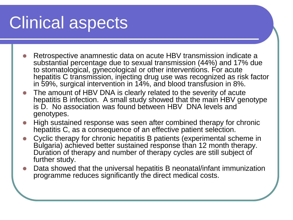## Clinical aspects

- Retrospective anamnestic data on acute HBV transmission indicate a substantial percentage due to sexual transmission (44%) and 17% due to stomatological, gynecological or other interventions. For acute hepatitis C transmission, injecting drug use was recognized as risk factor in 59%, surgical intervention in 14%, and blood transfusion in 8%.
- The amount of HBV DNA is clearly related to the severity of acute hepatitis B infection. A small study showed that the main HBV genotype is D. No association was found between HBV DNA levels and genotypes.
- High sustained response was seen after combined therapy for chronic hepatitis C, as a consequence of an effective patient selection.
- Cyclic therapy for chronic hepatitis B patients (experimental scheme in Bulgaria) achieved better sustained response than 12 month therapy. Duration of therapy and number of therapy cycles are still subject of further study.
- Data showed that the universal hepatitis B neonatal/infant immunization programme reduces significantly the direct medical costs.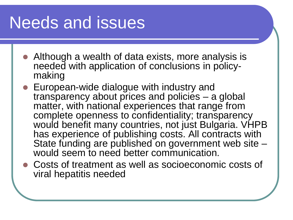## Needs and issues

- Although a wealth of data exists, more analysis is needed with application of conclusions in policy- making
- European-wide dialogue with industry and transparency about prices and policies – a global matter, with national experiences that range from complete openness to confidentiality; transparency would benefit many countries, not just Bulgaria. VHPB has experience of publishing costs. All contracts with State funding are published on government web site – would seem to need better communication.
- Costs of treatment as well as socioeconomic costs of viral hepatitis needed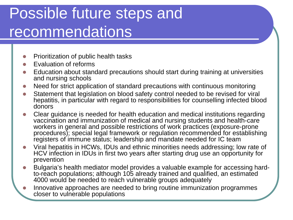#### Possible future steps and recommendations

- Prioritization of public health tasks
- Evaluation of reforms
- Education about standard precautions should start during training at universities and nursing schools
- Need for strict application of standard precautions with continuous monitoring
- Statement that legislation on blood safety control needed to be revised for viral hepatitis, in particular with regard to responsibilities for counselling infected blood donors
- Clear guidance is needed for health education and medical institutions regarding vaccination and immunization of medical and nursing students and health-care workers in general and possible restrictions of work practices (exposure-prone procedures); special legal framework or regulation recommended for establishing registers of immune status; leadership and mandate needed for IC team
- Viral hepatitis in HCWs, IDUs and ethnic minorities needs addressing; low rate of HCV infection in IDUs in first two years after starting drug use an opportunity for prevention
- Bulgaria's health mediator model provides a valuable example for accessing hard- to-reach populations; although 105 already trained and qualified, an estimated 4000 would be needed to reach vulnerable groups adequately
- Innovative approaches are needed to bring routine immunization programmes closer to vulnerable populations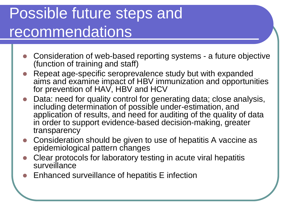#### Possible future steps and recommendations

- Consideration of web-based reporting systems a future objective (function of training and staff)
- Repeat age-specific seroprevalence study but with expanded aims and examine impact of HBV immunization and opportunities for prevention of HAV, HBV and HCV
- Data: need for quality control for generating data; close analysis, including determination of possible under-estimation, and application of results, and need for auditing of the quality of data in order to support evidence-based decision-making, greater transparency
- Consideration should be given to use of hepatitis A vaccine as epidemiological pattern changes
- Clear protocols for laboratory testing in acute viral hepatitis surveillance
- Enhanced surveillance of hepatitis E infection